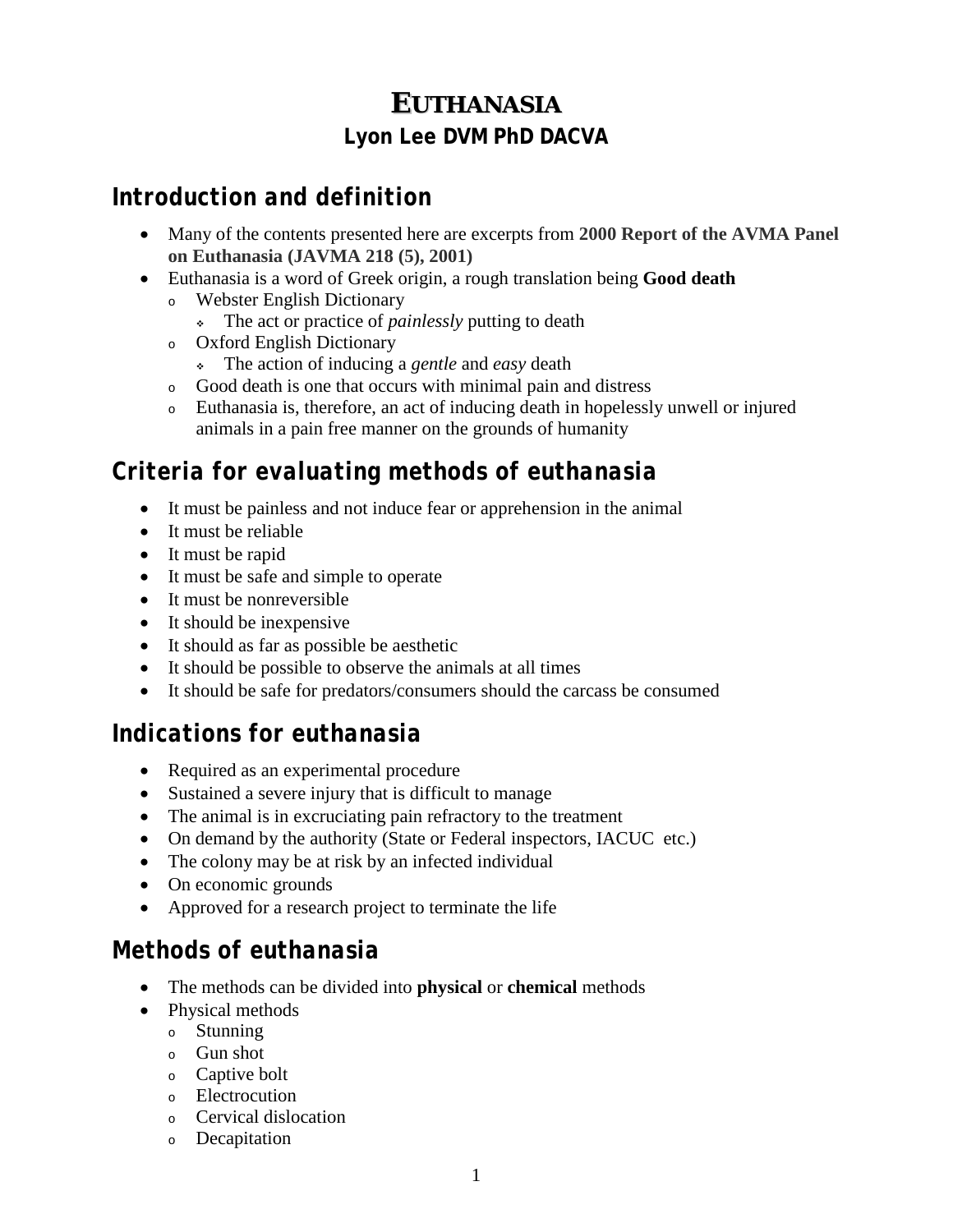# **EUTHANASIA Lyon Lee DVM PhD DACVA**

## *Introduction and definition*

- Many of the contents presented here are excerpts from **[2000 Report of the AVMA Panel](http://www.avma.org/issues/animal_welfare/euthanasia.pdf)  [on Euthanasia \(JAVMA 218 \(5\), 2001\)](http://www.avma.org/issues/animal_welfare/euthanasia.pdf)**
- Euthanasia is a word of Greek origin, a rough translation being **Good death**
	- <sup>o</sup> Webster English Dictionary
		- The act or practice of *painlessly* putting to death
	- <sup>o</sup> Oxford English Dictionary
		- The action of inducing a *gentle* and *easy* death
	- <sup>o</sup> Good death is one that occurs with minimal pain and distress
	- <sup>o</sup> Euthanasia is, therefore, an act of inducing death in hopelessly unwell or injured animals in a pain free manner on the grounds of humanity

# *Criteria for evaluating methods of euthanasia*

- It must be painless and not induce fear or apprehension in the animal
- It must be reliable
- It must be rapid
- It must be safe and simple to operate
- It must be nonreversible
- It should be inexpensive
- It should as far as possible be aesthetic
- It should be possible to observe the animals at all times
- It should be safe for predators/consumers should the carcass be consumed

# *Indications for euthanasia*

- Required as an experimental procedure
- Sustained a severe injury that is difficult to manage
- The animal is in excruciating pain refractory to the treatment
- On demand by the authority (State or Federal inspectors, IACUC etc.)
- The colony may be at risk by an infected individual
- On economic grounds
- Approved for a research project to terminate the life

## *Methods of euthanasia*

- The methods can be divided into **physical** or **chemical** methods
- Physical methods
	- <sup>o</sup> Stunning
	- <sup>o</sup> Gun shot
	- <sup>o</sup> Captive bolt
	- <sup>o</sup> Electrocution
	- <sup>o</sup> Cervical dislocation
	- <sup>o</sup> Decapitation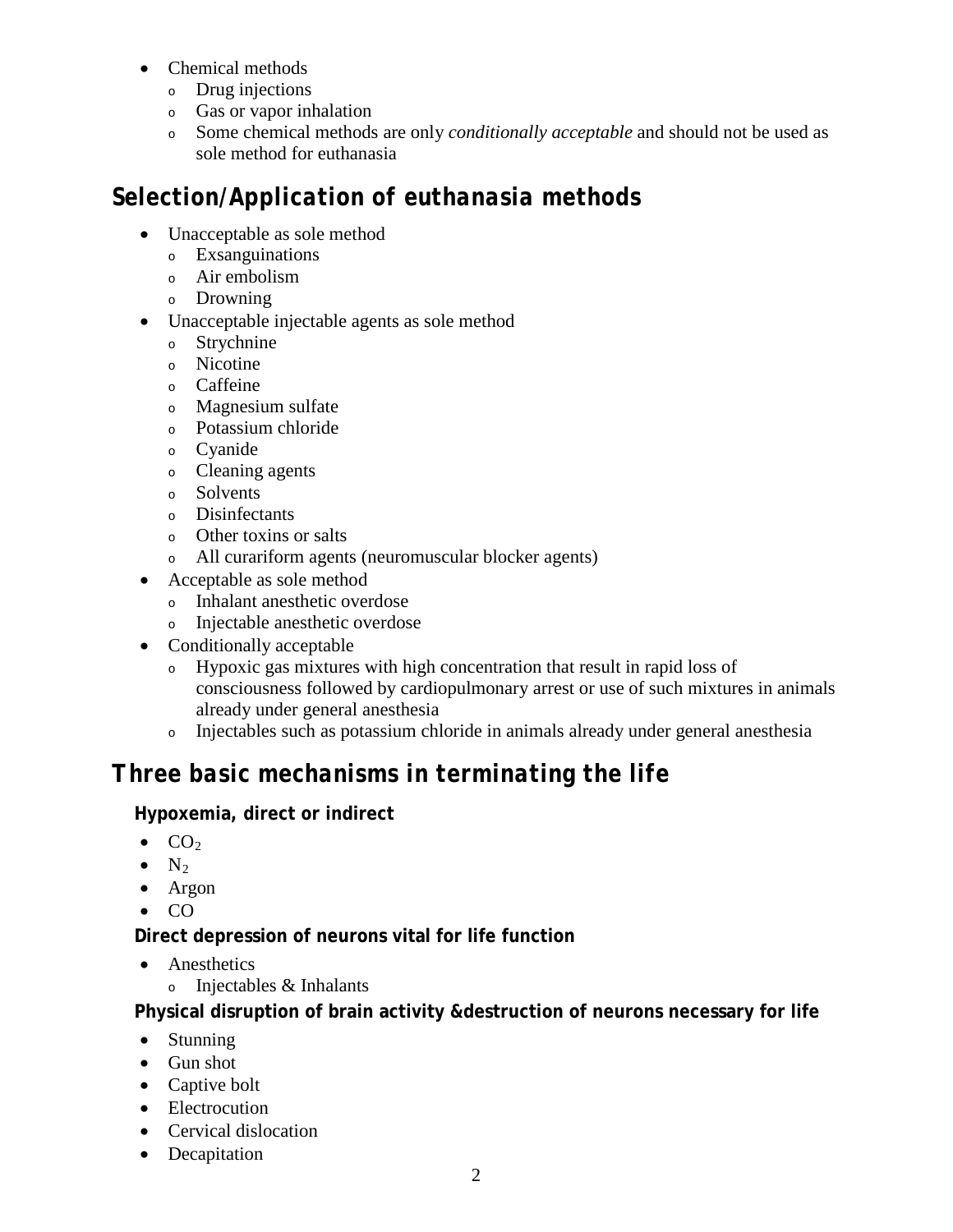- Chemical methods
	- <sup>o</sup> Drug injections
	- <sup>o</sup> Gas or vapor inhalation
	- <sup>o</sup> Some chemical methods are only *conditionally acceptable* and should not be used as sole method for euthanasia

## *Selection/Application of euthanasia methods*

- Unacceptable as sole method
	- <sup>o</sup> Exsanguinations
	- <sup>o</sup> Air embolism
	- <sup>o</sup> Drowning
- Unacceptable injectable agents as sole method
	- <sup>o</sup> Strychnine
	- <sup>o</sup> Nicotine
	- <sup>o</sup> Caffeine
	- <sup>o</sup> Magnesium sulfate
	- <sup>o</sup> Potassium chloride
	- <sup>o</sup> Cyanide
	- <sup>o</sup> Cleaning agents
	- <sup>o</sup> Solvents
	- <sup>o</sup> Disinfectants
	- <sup>o</sup> Other toxins or salts
	- <sup>o</sup> All curariform agents (neuromuscular blocker agents)
- Acceptable as sole method
	- <sup>o</sup> Inhalant anesthetic overdose
	- <sup>o</sup> Injectable anesthetic overdose
- Conditionally acceptable
	- <sup>o</sup> Hypoxic gas mixtures with high concentration that result in rapid loss of consciousness followed by cardiopulmonary arrest or use of such mixtures in animals already under general anesthesia
	- <sup>o</sup> Injectables such as potassium chloride in animals already under general anesthesia

## *Three basic mechanisms in terminating the life*

#### **Hypoxemia, direct or indirect**

- $\bullet$  CO<sub>2</sub>
- $\bullet$  N<sub>2</sub>
- Argon
- CO

**Direct depression of neurons vital for life function**

- Anesthetics
	- <sup>o</sup> Injectables & Inhalants

**Physical disruption of brain activity &destruction of neurons necessary for life**

- Stunning
- Gun shot
- Captive bolt
- Electrocution
- Cervical dislocation
- Decapitation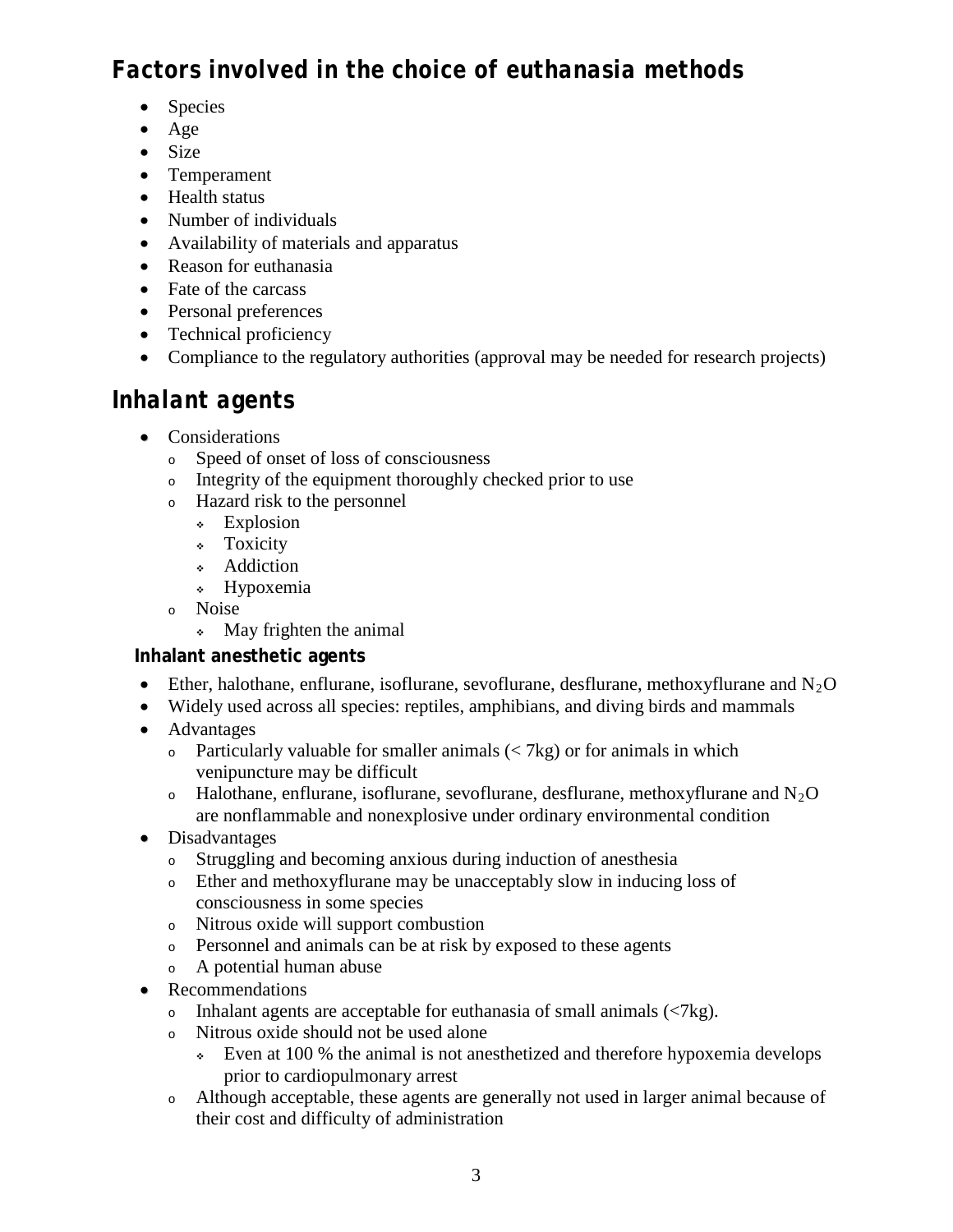# *Factors involved in the choice of euthanasia methods*

- Species
- Age
- Size
- Temperament
- Health status
- Number of individuals
- Availability of materials and apparatus
- Reason for euthanasia
- Fate of the carcass
- Personal preferences
- Technical proficiency
- Compliance to the regulatory authorities (approval may be needed for research projects)

# *Inhalant agents*

- Considerations
	- <sup>o</sup> Speed of onset of loss of consciousness
	- <sup>o</sup> Integrity of the equipment thoroughly checked prior to use
	- <sup>o</sup> Hazard risk to the personnel
		- Explosion
		- Toxicity
		- Addiction
		- Hypoxemia
	- <sup>o</sup> Noise
		- May frighten the animal

### **Inhalant anesthetic agents**

- Ether, halothane, enflurane, isoflurane, sevoflurane, desflurane, methoxyflurane and  $N_2O$
- Widely used across all species: reptiles, amphibians, and diving birds and mammals
- Advantages
	- o Particularly valuable for smaller animals  $\left($  < 7kg) or for animals in which venipuncture may be difficult
	- $\circ$  Halothane, enflurane, isoflurane, sevoflurane, desflurane, methoxyflurane and N<sub>2</sub>O are nonflammable and nonexplosive under ordinary environmental condition
- Disadvantages
	- <sup>o</sup> Struggling and becoming anxious during induction of anesthesia
	- <sup>o</sup> Ether and methoxyflurane may be unacceptably slow in inducing loss of consciousness in some species
	- <sup>o</sup> Nitrous oxide will support combustion
	- <sup>o</sup> Personnel and animals can be at risk by exposed to these agents
	- <sup>o</sup> A potential human abuse
- Recommendations
	- o Inhalant agents are acceptable for euthanasia of small animals  $\left\langle \frac{\partial}{\partial x} \right\rangle$ .
	- <sup>o</sup> Nitrous oxide should not be used alone
		- Even at 100 % the animal is not anesthetized and therefore hypoxemia develops prior to cardiopulmonary arrest
	- <sup>o</sup> Although acceptable, these agents are generally not used in larger animal because of their cost and difficulty of administration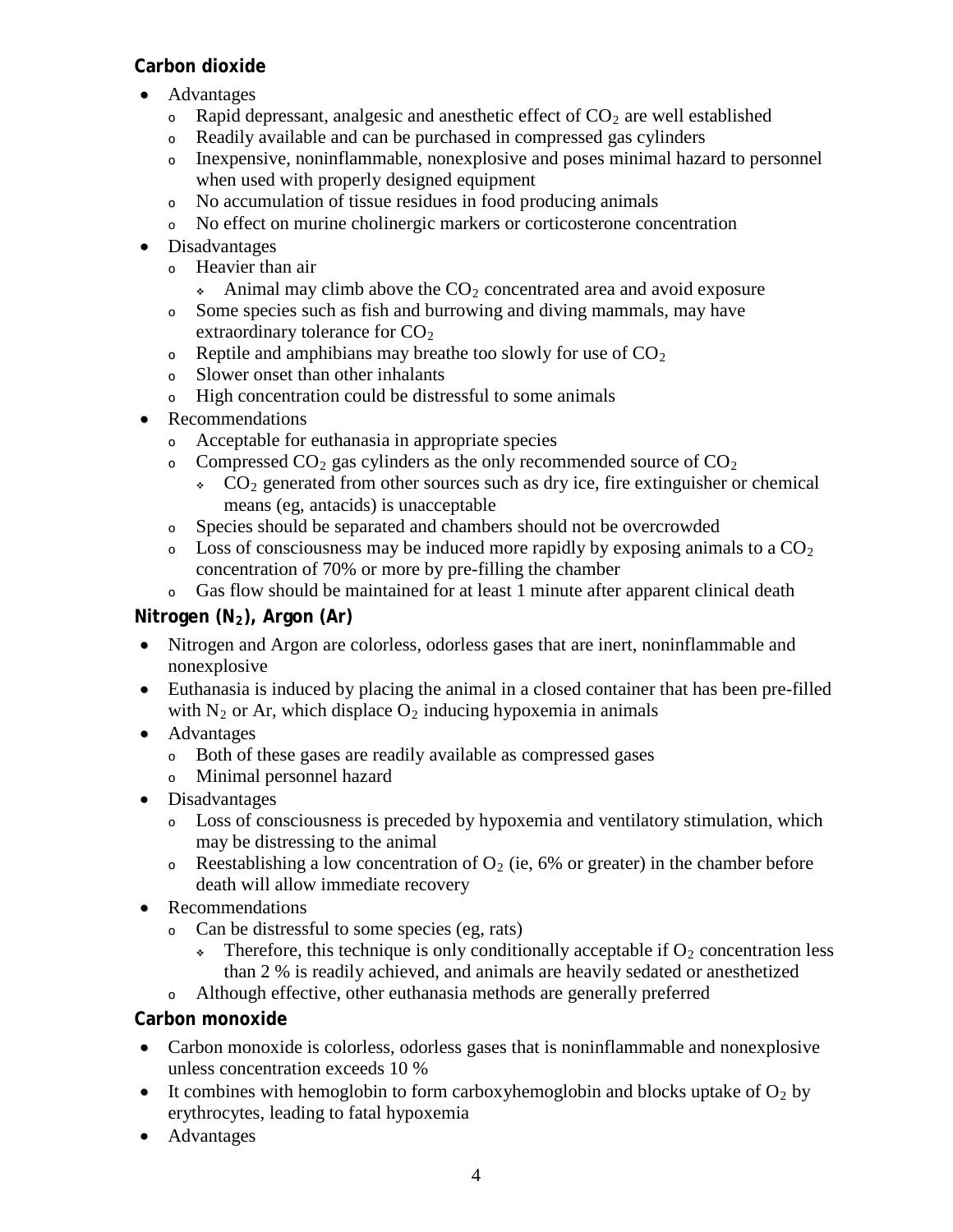### **Carbon dioxide**

- Advantages
	- $\circ$  Rapid depressant, analgesic and anesthetic effect of CO<sub>2</sub> are well established
	- <sup>o</sup> Readily available and can be purchased in compressed gas cylinders
	- <sup>o</sup> Inexpensive, noninflammable, nonexplosive and poses minimal hazard to personnel when used with properly designed equipment
	- <sup>o</sup> No accumulation of tissue residues in food producing animals
	- <sup>o</sup> No effect on murine cholinergic markers or corticosterone concentration
- Disadvantages
	- <sup>o</sup> Heavier than air
		- $\bullet$  Animal may climb above the CO<sub>2</sub> concentrated area and avoid exposure
	- <sup>o</sup> Some species such as fish and burrowing and diving mammals, may have extraordinary tolerance for  $\mathrm{CO}_2$
	- $\circ$  Reptile and amphibians may breathe too slowly for use of  $CO<sub>2</sub>$
	- <sup>o</sup> Slower onset than other inhalants
	- <sup>o</sup> High concentration could be distressful to some animals
- Recommendations
	- <sup>o</sup> Acceptable for euthanasia in appropriate species
	- $\circ$  Compressed CO<sub>2</sub> gas cylinders as the only recommended source of CO<sub>2</sub>
		- $\sim$  CO<sub>2</sub> generated from other sources such as dry ice, fire extinguisher or chemical means (eg, antacids) is unacceptable
	- <sup>o</sup> Species should be separated and chambers should not be overcrowded
	- $\circ$  Loss of consciousness may be induced more rapidly by exposing animals to a CO<sub>2</sub> concentration of 70% or more by pre-filling the chamber
	- <sup>o</sup> Gas flow should be maintained for at least 1 minute after apparent clinical death

### **Nitrogen (N2 ), Argon (Ar)**

- Nitrogen and Argon are colorless, odorless gases that are inert, noninflammable and nonexplosive
- Euthanasia is induced by placing the animal in a closed container that has been pre-filled with  $N_2$  or Ar, which displace  $O_2$  inducing hypoxemia in animals
- Advantages
	- <sup>o</sup> Both of these gases are readily available as compressed gases
	- <sup>o</sup> Minimal personnel hazard
- Disadvantages
	- <sup>o</sup> Loss of consciousness is preceded by hypoxemia and ventilatory stimulation, which may be distressing to the animal
	- Reestablishing a low concentration of  $O_2$  (ie, 6% or greater) in the chamber before death will allow immediate recovery
- Recommendations
	- <sup>o</sup> Can be distressful to some species (eg, rats)
		- Therefore, this technique is only conditionally acceptable if  $O_2$  concentration less than 2 % is readily achieved, and animals are heavily sedated or anesthetized
	- <sup>o</sup> Although effective, other euthanasia methods are generally preferred

## **Carbon monoxide**

- Carbon monoxide is colorless, odorless gases that is noninflammable and nonexplosive unless concentration exceeds 10 %
- It combines with hemoglobin to form carboxyhemoglobin and blocks uptake of  $O_2$  by erythrocytes, leading to fatal hypoxemia
- Advantages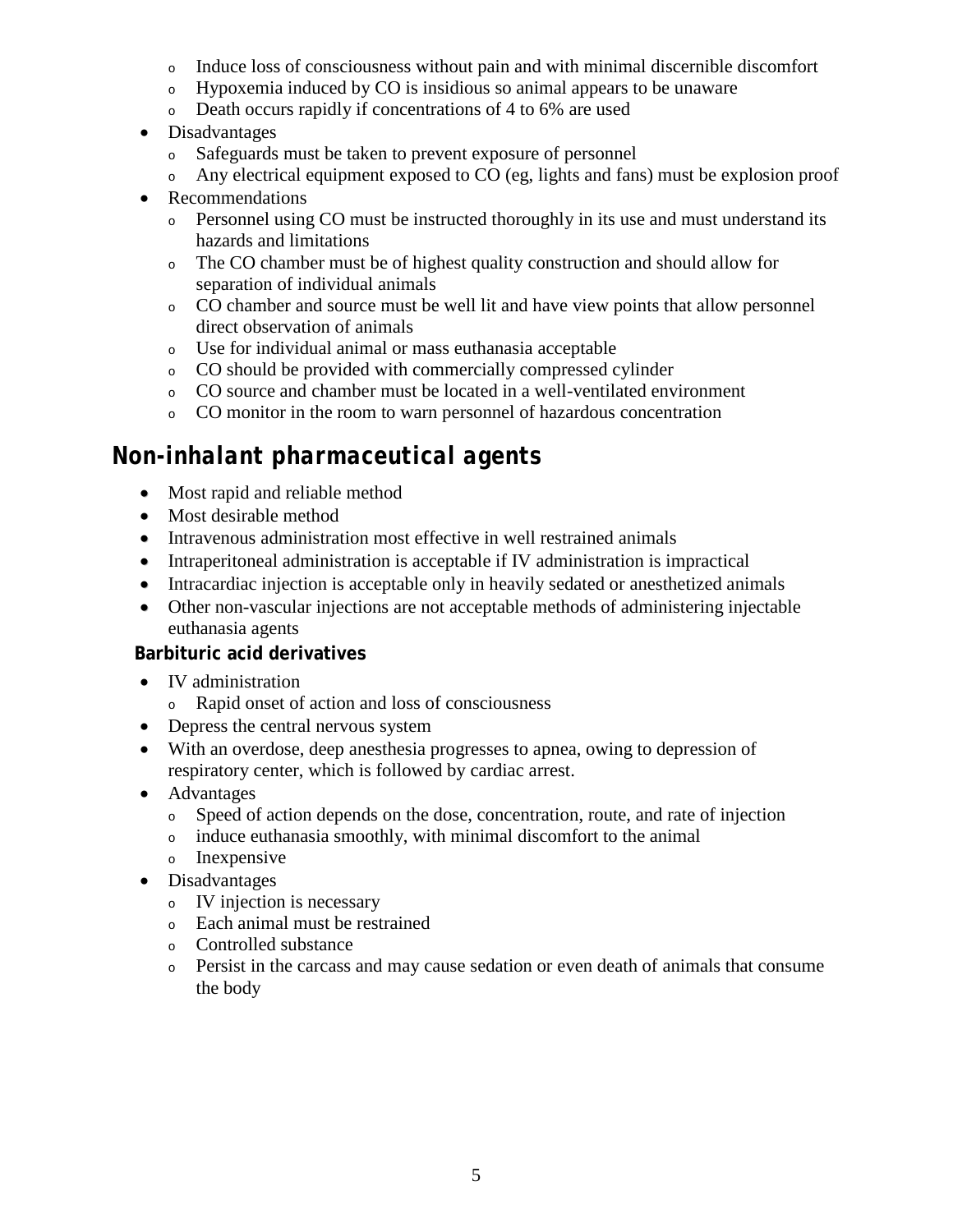- <sup>o</sup> Induce loss of consciousness without pain and with minimal discernible discomfort
- <sup>o</sup> Hypoxemia induced by CO is insidious so animal appears to be unaware
- <sup>o</sup> Death occurs rapidly if concentrations of 4 to 6% are used
- Disadvantages
	- <sup>o</sup> Safeguards must be taken to prevent exposure of personnel
	- <sup>o</sup> Any electrical equipment exposed to CO (eg, lights and fans) must be explosion proof
- Recommendations
	- $\circ$  Personnel using CO must be instructed thoroughly in its use and must understand its hazards and limitations
	- <sup>o</sup> The CO chamber must be of highest quality construction and should allow for separation of individual animals
	- <sup>o</sup> CO chamber and source must be well lit and have view points that allow personnel direct observation of animals
	- <sup>o</sup> Use for individual animal or mass euthanasia acceptable
	- <sup>o</sup> CO should be provided with commercially compressed cylinder
	- <sup>o</sup> CO source and chamber must be located in a well-ventilated environment
	- <sup>o</sup> CO monitor in the room to warn personnel of hazardous concentration

## *Non-inhalant pharmaceutical agents*

- Most rapid and reliable method
- Most desirable method
- Intravenous administration most effective in well restrained animals
- Intraperitoneal administration is acceptable if IV administration is impractical
- Intracardiac injection is acceptable only in heavily sedated or anesthetized animals
- Other non-vascular injections are not acceptable methods of administering injectable euthanasia agents

#### **Barbituric acid derivatives**

- IV administration
	- <sup>o</sup> Rapid onset of action and loss of consciousness
- Depress the central nervous system
- With an overdose, deep anesthesia progresses to apnea, owing to depression of respiratory center, which is followed by cardiac arrest.
- Advantages
	- <sup>o</sup> Speed of action depends on the dose, concentration, route, and rate of injection
	- <sup>o</sup> induce euthanasia smoothly, with minimal discomfort to the animal
	- <sup>o</sup> Inexpensive
- Disadvantages
	- <sup>o</sup> IV injection is necessary
	- <sup>o</sup> Each animal must be restrained
	- <sup>o</sup> Controlled substance
	- <sup>o</sup> Persist in the carcass and may cause sedation or even death of animals that consume the body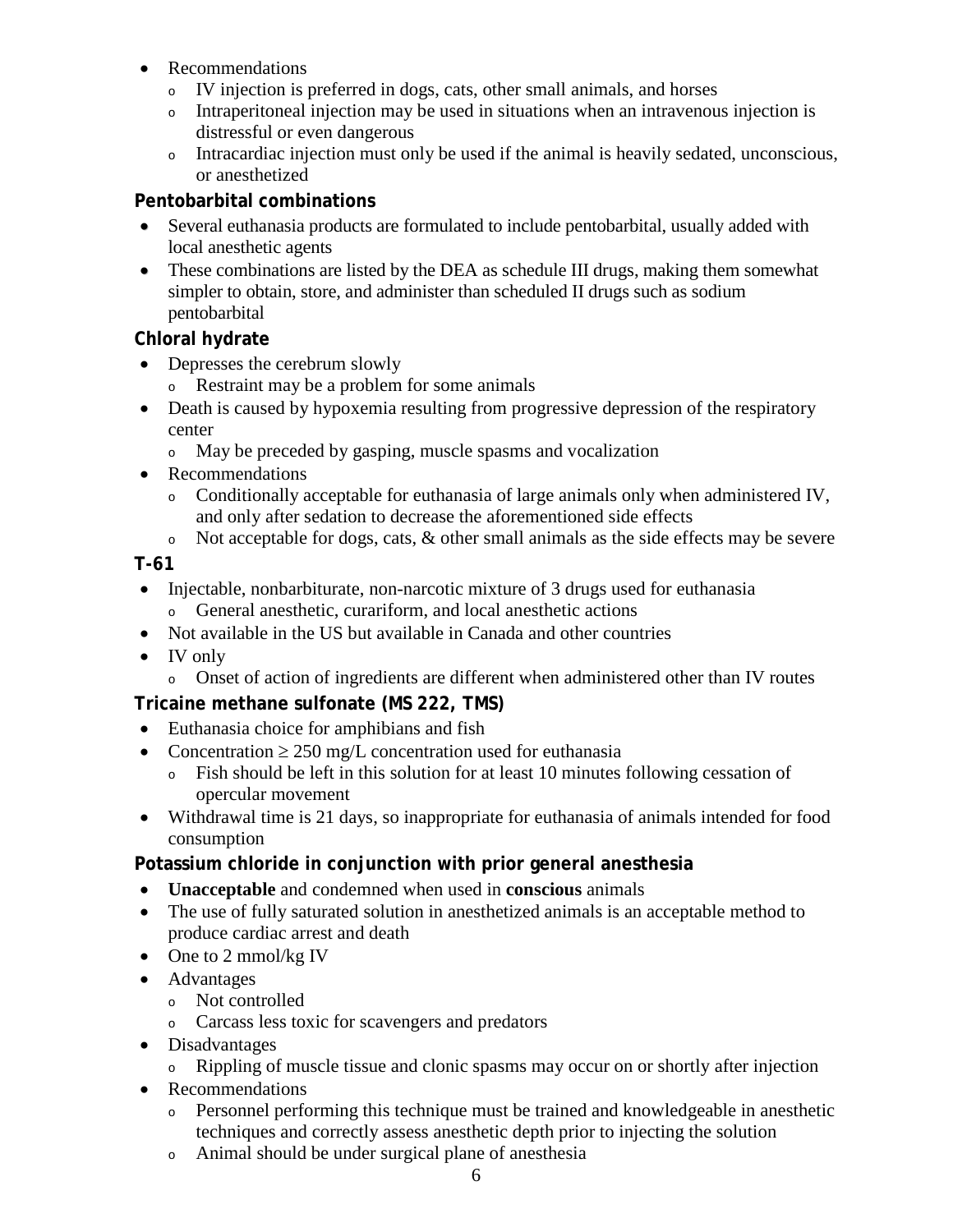- Recommendations
	- <sup>o</sup> IV injection is preferred in dogs, cats, other small animals, and horses
	- <sup>o</sup> Intraperitoneal injection may be used in situations when an intravenous injection is distressful or even dangerous
	- <sup>o</sup> Intracardiac injection must only be used if the animal is heavily sedated, unconscious, or anesthetized

#### **Pentobarbital combinations**

- Several euthanasia products are formulated to include pentobarbital, usually added with local anesthetic agents
- These combinations are listed by the DEA as schedule III drugs, making them somewhat simpler to obtain, store, and administer than scheduled II drugs such as sodium pentobarbital

#### **Chloral hydrate**

- Depresses the cerebrum slowly
	- <sup>o</sup> Restraint may be a problem for some animals
- Death is caused by hypoxemia resulting from progressive depression of the respiratory center
	- <sup>o</sup> May be preceded by gasping, muscle spasms and vocalization
- Recommendations
	- <sup>o</sup> Conditionally acceptable for euthanasia of large animals only when administered IV, and only after sedation to decrease the aforementioned side effects
	- <sup>o</sup> Not acceptable for dogs, cats, & other small animals as the side effects may be severe

#### **T-61**

- Injectable, nonbarbiturate, non-narcotic mixture of 3 drugs used for euthanasia <sup>o</sup> General anesthetic, curariform, and local anesthetic actions
- Not available in the US but available in Canada and other countries
- IV only
	- <sup>o</sup> Onset of action of ingredients are different when administered other than IV routes

### **Tricaine methane sulfonate (MS 222, TMS)**

- Euthanasia choice for amphibians and fish
- Concentration  $\geq 250$  mg/L concentration used for euthanasia
	- <sup>o</sup> Fish should be left in this solution for at least 10 minutes following cessation of opercular movement
- Withdrawal time is 21 days, so inappropriate for euthanasia of animals intended for food consumption

#### **Potassium chloride in conjunction with prior general anesthesia**

- **Unacceptable** and condemned when used in **conscious** animals
- The use of fully saturated solution in anesthetized animals is an acceptable method to produce cardiac arrest and death
- One to 2 mmol/kg IV
- Advantages
	- <sup>o</sup> Not controlled
	- <sup>o</sup> Carcass less toxic for scavengers and predators
- Disadvantages
	- <sup>o</sup> Rippling of muscle tissue and clonic spasms may occur on or shortly after injection
- Recommendations
	- <sup>o</sup> Personnel performing this technique must be trained and knowledgeable in anesthetic techniques and correctly assess anesthetic depth prior to injecting the solution
	- <sup>o</sup> Animal should be under surgical plane of anesthesia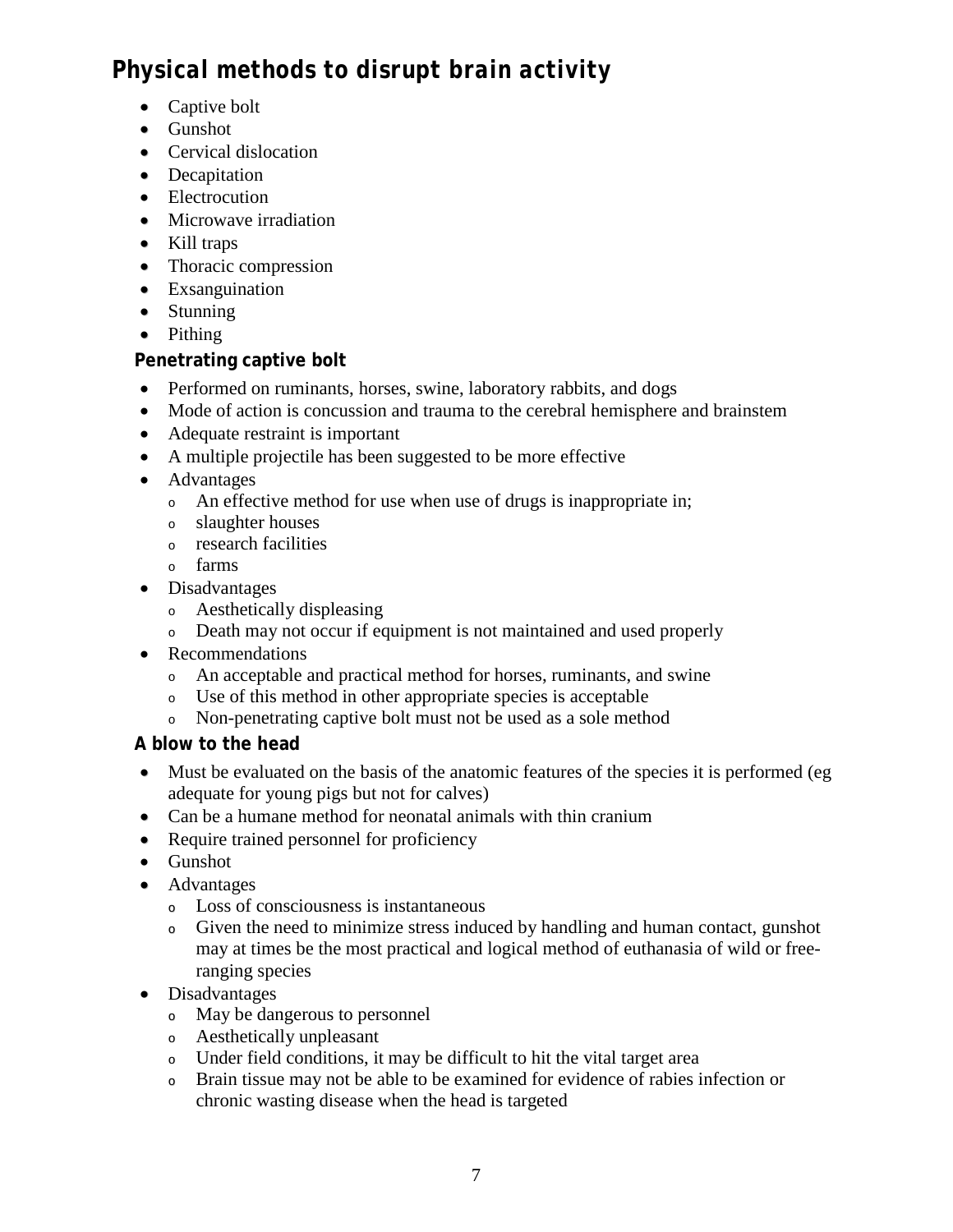# *Physical methods to disrupt brain activity*

- Captive bolt
- Gunshot
- Cervical dislocation
- Decapitation
- Electrocution
- Microwave irradiation
- Kill traps
- Thoracic compression
- Exsanguination
- Stunning
- Pithing

#### **Penetrating captive bolt**

- Performed on ruminants, horses, swine, laboratory rabbits, and dogs
- Mode of action is concussion and trauma to the cerebral hemisphere and brainstem
- Adequate restraint is important
- A multiple projectile has been suggested to be more effective
- Advantages
	- <sup>o</sup> An effective method for use when use of drugs is inappropriate in;
	- <sup>o</sup> slaughter houses
	- <sup>o</sup> research facilities
	- <sup>o</sup> farms
- Disadvantages
	- <sup>o</sup> Aesthetically displeasing
	- <sup>o</sup> Death may not occur if equipment is not maintained and used properly
- Recommendations
	- <sup>o</sup> An acceptable and practical method for horses, ruminants, and swine
	- <sup>o</sup> Use of this method in other appropriate species is acceptable
	- <sup>o</sup> Non-penetrating captive bolt must not be used as a sole method

#### **A blow to the head**

- Must be evaluated on the basis of the anatomic features of the species it is performed (eg adequate for young pigs but not for calves)
- Can be a humane method for neonatal animals with thin cranium
- Require trained personnel for proficiency
- Gunshot
- Advantages
	- <sup>o</sup> Loss of consciousness is instantaneous
	- <sup>o</sup> Given the need to minimize stress induced by handling and human contact, gunshot may at times be the most practical and logical method of euthanasia of wild or freeranging species
- Disadvantages
	- <sup>o</sup> May be dangerous to personnel
	- <sup>o</sup> Aesthetically unpleasant
	- <sup>o</sup> Under field conditions, it may be difficult to hit the vital target area
	- <sup>o</sup> Brain tissue may not be able to be examined for evidence of rabies infection or chronic wasting disease when the head is targeted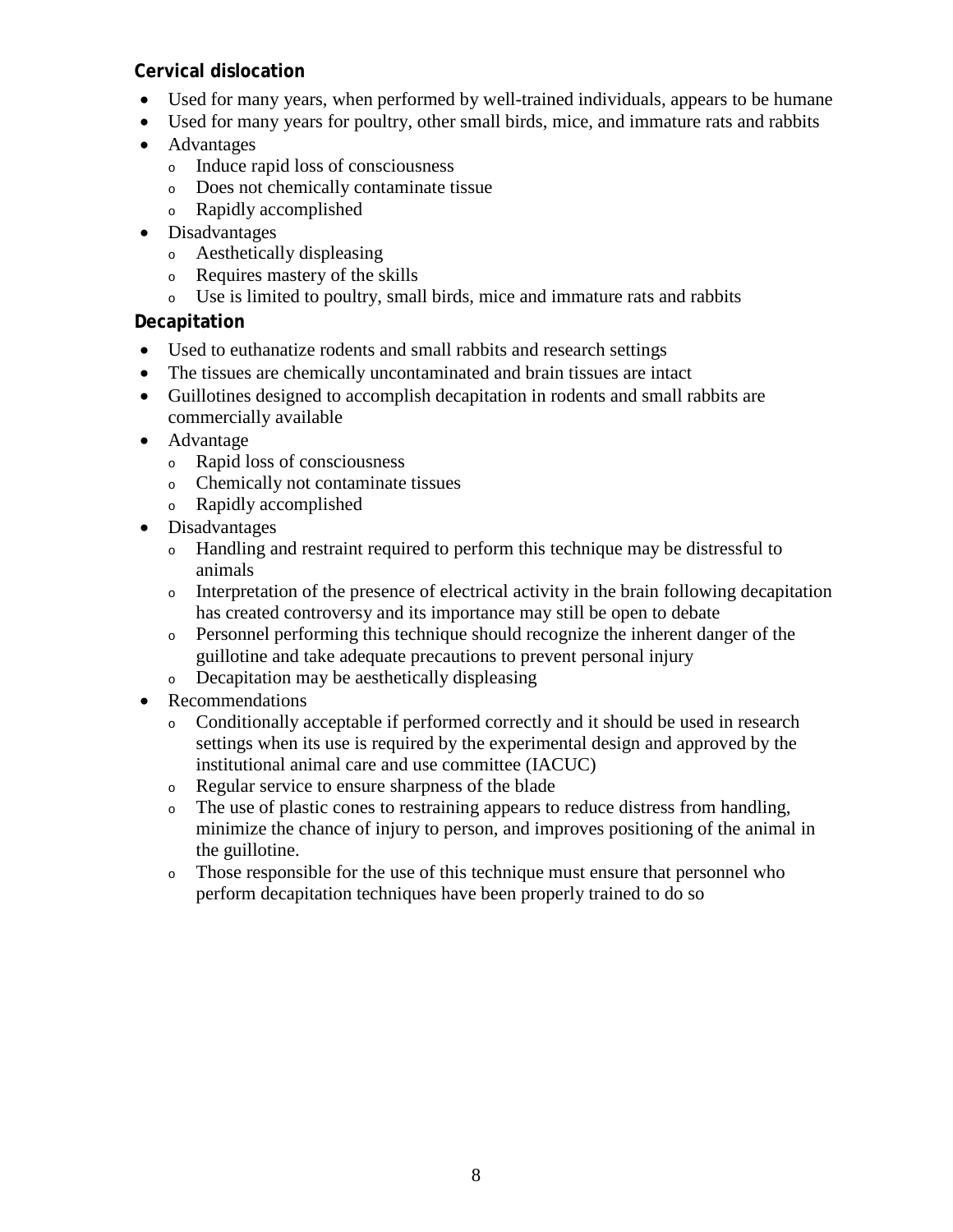#### **Cervical dislocation**

- Used for many years, when performed by well-trained individuals, appears to be humane
- Used for many years for poultry, other small birds, mice, and immature rats and rabbits
- Advantages
	- <sup>o</sup> Induce rapid loss of consciousness
	- <sup>o</sup> Does not chemically contaminate tissue
	- <sup>o</sup> Rapidly accomplished
- Disadvantages
	- <sup>o</sup> Aesthetically displeasing
	- <sup>o</sup> Requires mastery of the skills
	- <sup>o</sup> Use is limited to poultry, small birds, mice and immature rats and rabbits

#### **Decapitation**

- Used to euthanatize rodents and small rabbits and research settings
- The tissues are chemically uncontaminated and brain tissues are intact
- Guillotines designed to accomplish decapitation in rodents and small rabbits are commercially available
- Advantage
	- <sup>o</sup> Rapid loss of consciousness
	- <sup>o</sup> Chemically not contaminate tissues
	- <sup>o</sup> Rapidly accomplished
- Disadvantages
	- <sup>o</sup> Handling and restraint required to perform this technique may be distressful to animals
	- $\circ$  Interpretation of the presence of electrical activity in the brain following decapitation has created controversy and its importance may still be open to debate
	- <sup>o</sup> Personnel performing this technique should recognize the inherent danger of the guillotine and take adequate precautions to prevent personal injury
	- <sup>o</sup> Decapitation may be aesthetically displeasing
- Recommendations
	- <sup>o</sup> Conditionally acceptable if performed correctly and it should be used in research settings when its use is required by the experimental design and approved by the institutional animal care and use committee (IACUC)
	- <sup>o</sup> Regular service to ensure sharpness of the blade
	- <sup>o</sup> The use of plastic cones to restraining appears to reduce distress from handling, minimize the chance of injury to person, and improves positioning of the animal in the guillotine.
	- <sup>o</sup> Those responsible for the use of this technique must ensure that personnel who perform decapitation techniques have been properly trained to do so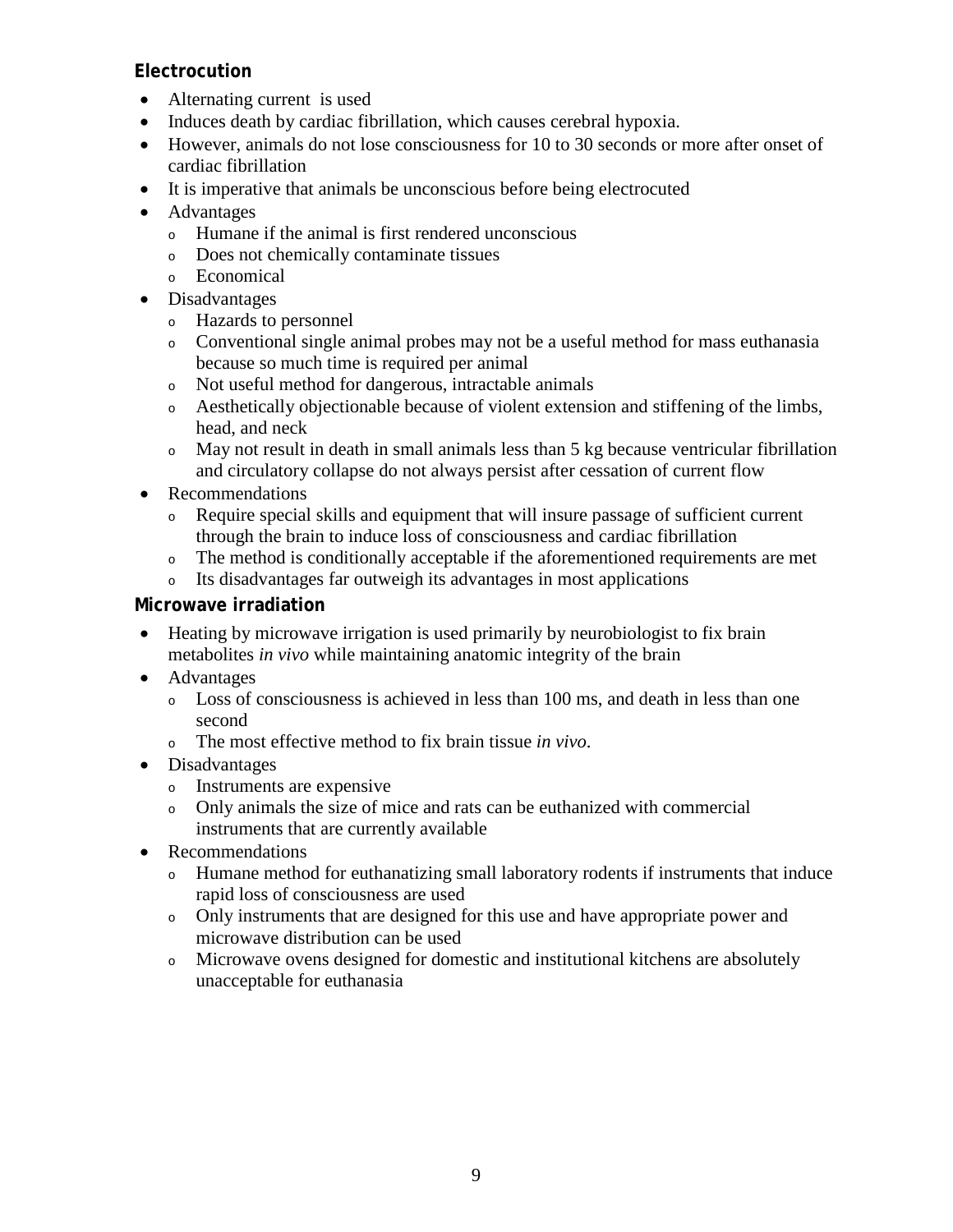### **Electrocution**

- Alternating current is used
- Induces death by cardiac fibrillation, which causes cerebral hypoxia.
- However, animals do not lose consciousness for 10 to 30 seconds or more after onset of cardiac fibrillation
- It is imperative that animals be unconscious before being electrocuted
- Advantages
	- <sup>o</sup> Humane if the animal is first rendered unconscious
	- <sup>o</sup> Does not chemically contaminate tissues
	- <sup>o</sup> Economical
- Disadvantages
	- <sup>o</sup> Hazards to personnel
	- <sup>o</sup> Conventional single animal probes may not be a useful method for mass euthanasia because so much time is required per animal
	- <sup>o</sup> Not useful method for dangerous, intractable animals
	- <sup>o</sup> Aesthetically objectionable because of violent extension and stiffening of the limbs, head, and neck
	- <sup>o</sup> May not result in death in small animals less than 5 kg because ventricular fibrillation and circulatory collapse do not always persist after cessation of current flow
- Recommendations
	- <sup>o</sup> Require special skills and equipment that will insure passage of sufficient current through the brain to induce loss of consciousness and cardiac fibrillation
	- <sup>o</sup> The method is conditionally acceptable if the aforementioned requirements are met
	- <sup>o</sup> Its disadvantages far outweigh its advantages in most applications

#### **Microwave irradiation**

- Heating by microwave irrigation is used primarily by neurobiologist to fix brain metabolites *in vivo* while maintaining anatomic integrity of the brain
- Advantages
	- <sup>o</sup> Loss of consciousness is achieved in less than 100 ms, and death in less than one second
	- <sup>o</sup> The most effective method to fix brain tissue *in vivo*.
- Disadvantages
	- <sup>o</sup> Instruments are expensive
	- <sup>o</sup> Only animals the size of mice and rats can be euthanized with commercial instruments that are currently available
- Recommendations
	- <sup>o</sup> Humane method for euthanatizing small laboratory rodents if instruments that induce rapid loss of consciousness are used
	- <sup>o</sup> Only instruments that are designed for this use and have appropriate power and microwave distribution can be used
	- <sup>o</sup> Microwave ovens designed for domestic and institutional kitchens are absolutely unacceptable for euthanasia